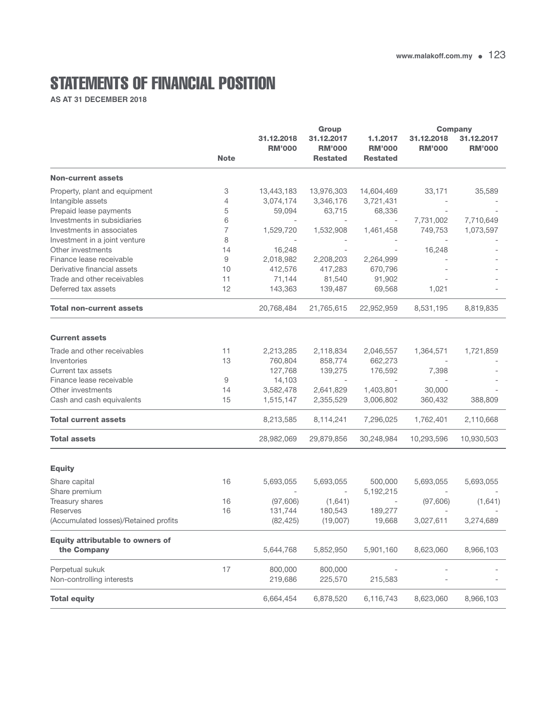## STATEMENTS OF FINANCIAL POSITION

**AS AT 31 DECEMBER 2018**

|                                                        |             | Group                       |                                                |                                              | <b>Company</b>              |                             |
|--------------------------------------------------------|-------------|-----------------------------|------------------------------------------------|----------------------------------------------|-----------------------------|-----------------------------|
|                                                        | <b>Note</b> | 31.12.2018<br><b>RM'000</b> | 31.12.2017<br><b>RM'000</b><br><b>Restated</b> | 1.1.2017<br><b>RM'000</b><br><b>Restated</b> | 31.12.2018<br><b>RM'000</b> | 31.12.2017<br><b>RM'000</b> |
| <b>Non-current assets</b>                              |             |                             |                                                |                                              |                             |                             |
| Property, plant and equipment                          | 3           | 13,443,183                  | 13,976,303                                     | 14,604,469                                   | 33,171                      | 35,589                      |
| Intangible assets                                      | 4           | 3,074,174                   | 3,346,176                                      | 3,721,431                                    |                             |                             |
| Prepaid lease payments                                 | 5           | 59,094                      | 63,715                                         | 68,336                                       |                             |                             |
| Investments in subsidiaries                            | 6           |                             |                                                | $\overline{\phantom{a}}$                     | 7,731,002                   | 7,710,649                   |
| Investments in associates                              | 7           | 1,529,720                   | 1,532,908                                      | 1,461,458                                    | 749,753                     | 1,073,597                   |
| Investment in a joint venture                          | 8           |                             |                                                |                                              |                             |                             |
| Other investments                                      | 14          | 16,248                      |                                                |                                              | 16,248                      |                             |
| Finance lease receivable                               | 9           | 2,018,982                   | 2,208,203                                      | 2,264,999                                    |                             |                             |
| Derivative financial assets                            | 10          | 412,576                     | 417,283                                        | 670,796                                      |                             |                             |
| Trade and other receivables                            | 11          | 71,144                      | 81,540                                         | 91,902                                       |                             |                             |
| Deferred tax assets                                    | 12          | 143,363                     | 139,487                                        | 69,568                                       | 1,021                       |                             |
| <b>Total non-current assets</b>                        |             | 20,768,484                  | 21,765,615                                     | 22,952,959                                   | 8,531,195                   | 8,819,835                   |
| <b>Current assets</b>                                  |             |                             |                                                |                                              |                             |                             |
| Trade and other receivables                            | 11          | 2,213,285                   | 2,118,834                                      | 2,046,557                                    | 1,364,571                   | 1,721,859                   |
| Inventories                                            | 13          | 760,804                     | 858,774                                        | 662,273                                      |                             |                             |
| Current tax assets                                     |             | 127,768                     | 139,275                                        | 176,592                                      | 7,398                       |                             |
| Finance lease receivable                               | 9           | 14,103                      |                                                |                                              |                             |                             |
| Other investments                                      | 14          | 3,582,478                   | 2,641,829                                      | 1,403,801                                    | 30,000                      |                             |
| Cash and cash equivalents                              | 15          | 1,515,147                   | 2,355,529                                      | 3,006,802                                    | 360,432                     | 388,809                     |
| <b>Total current assets</b>                            |             | 8,213,585                   | 8,114,241                                      | 7,296,025                                    | 1,762,401                   | 2,110,668                   |
| <b>Total assets</b>                                    |             | 28,982,069                  | 29,879,856                                     | 30,248,984                                   | 10,293,596                  | 10,930,503                  |
| <b>Equity</b>                                          |             |                             |                                                |                                              |                             |                             |
| Share capital                                          | 16          | 5,693,055                   | 5,693,055                                      | 500,000                                      | 5,693,055                   | 5,693,055                   |
| Share premium                                          |             |                             |                                                | 5,192,215                                    |                             |                             |
| Treasury shares                                        | 16          | (97,606)                    | (1,641)                                        |                                              | (97,606)                    | (1,641)                     |
| Reserves                                               | 16          | 131,744                     | 180,543                                        | 189,277                                      |                             |                             |
| (Accumulated losses)/Retained profits                  |             | (82, 425)                   | (19,007)                                       | 19,668                                       | 3,027,611                   | 3,274,689                   |
| <b>Equity attributable to owners of</b><br>the Company |             | 5,644,768                   | 5,852,950                                      | 5,901,160                                    | 8,623,060                   | 8,966,103                   |
|                                                        |             |                             |                                                |                                              |                             |                             |
| Perpetual sukuk<br>Non-controlling interests           | 17          | 800,000<br>219,686          | 800,000<br>225,570                             | 215,583                                      |                             |                             |
| <b>Total equity</b>                                    |             | 6,664,454                   | 6,878,520                                      | 6,116,743                                    | 8,623,060                   | 8,966,103                   |
|                                                        |             |                             |                                                |                                              |                             |                             |